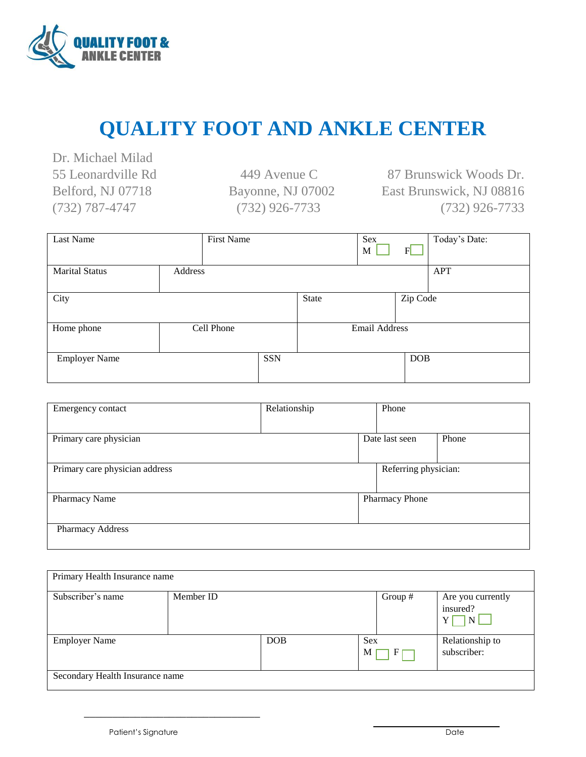

## **QUALITY FOOT AND ANKLE CENTER**

Dr. Michael Milad 55 Leonardville Rd 449 Avenue C Belford, NJ 07718 Bayonne, NJ 07002 (732) 787-4747 (732) 926-7733

87 Brunswick Woods Dr. East Brunswick, NJ 08816 (732) 926-7733

| Last Name             |         | <b>First Name</b> |            |       | Sex<br>M      | F          | Today's Date: |
|-----------------------|---------|-------------------|------------|-------|---------------|------------|---------------|
| <b>Marital Status</b> | Address |                   |            |       |               |            | <b>APT</b>    |
| City                  |         |                   |            | State |               | Zip Code   |               |
| Home phone            |         | Cell Phone        |            |       | Email Address |            |               |
| <b>Employer Name</b>  |         |                   | <b>SSN</b> |       |               | <b>DOB</b> |               |

| Emergency contact              | Relationship |                      | Phone                 |       |
|--------------------------------|--------------|----------------------|-----------------------|-------|
| Primary care physician         |              |                      | Date last seen        | Phone |
| Primary care physician address |              | Referring physician: |                       |       |
| Pharmacy Name                  |              |                      | <b>Pharmacy Phone</b> |       |
| Pharmacy Address               |              |                      |                       |       |

| Primary Health Insurance name   |           |            |               |                                                      |
|---------------------------------|-----------|------------|---------------|------------------------------------------------------|
| Subscriber's name               | Member ID |            | Group $#$     | Are you currently<br>insured?<br>N<br>Y <sub>1</sub> |
| <b>Employer Name</b>            |           | <b>DOB</b> | Sex<br>F<br>M | Relationship to<br>subscriber:                       |
| Secondary Health Insurance name |           |            |               |                                                      |

\_\_\_\_\_\_\_\_\_\_\_\_\_\_\_\_\_\_\_\_\_\_\_\_\_\_\_\_\_\_\_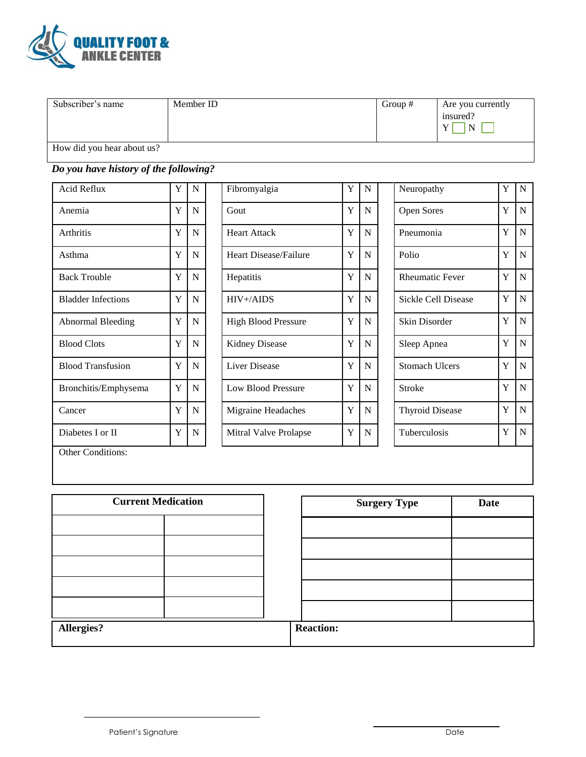

| Subscriber's name          | Member ID | Group $#$ | Are you currently<br>insured?<br>N |
|----------------------------|-----------|-----------|------------------------------------|
| How did you hear about us? |           |           |                                    |

## *Do you have history of the following?*

| Acid Reflux               | Y | N |
|---------------------------|---|---|
| Anemia                    | Y | N |
| Arthritis                 | Y | N |
| Asthma                    | Y | N |
| <b>Back Trouble</b>       | Y | N |
| <b>Bladder Infections</b> | Y | N |
| Abnormal Bleeding         | Y | N |
| <b>Blood Clots</b>        | Y | N |
| <b>Blood Transfusion</b>  | Y | N |
| Bronchitis/Emphysema      | Y | N |
| Cancer                    | Y | N |
| Diabetes I or II          | Y | N |

| Acid Reflux               | Y | N           | Fibromyalgia                 | Y | N           | Neuropathy             | Y | N              |
|---------------------------|---|-------------|------------------------------|---|-------------|------------------------|---|----------------|
| Anemia                    | Y | $\mathbf N$ | Gout                         | Y | N           | Open Sores             | Y | $\mathsf{N}$   |
| Arthritis                 | Y | N           | <b>Heart Attack</b>          | Y | N           | Pneumonia              | Y | N              |
| Asthma                    | Y | $\mathbf N$ | <b>Heart Disease/Failure</b> | Y | N           | Polio                  | Y | $\overline{N}$ |
| <b>Back Trouble</b>       | Y | N           | Hepatitis                    | Y | $\mathbf N$ | <b>Rheumatic Fever</b> | Y | N              |
| <b>Bladder Infections</b> | Y | $\mathbf N$ | $HIV+/AIDS$                  | Y | N           | Sickle Cell Disease    | Y | $\mathbf N$    |
| <b>Abnormal Bleeding</b>  | Y | N           | <b>High Blood Pressure</b>   | Y | N           | Skin Disorder          | Y | $\overline{N}$ |
| <b>Blood Clots</b>        | Y | N           | <b>Kidney Disease</b>        | Y | N           | Sleep Apnea            | Y | $\overline{N}$ |
| <b>Blood Transfusion</b>  | Y | $\mathbf N$ | Liver Disease                | Y | N           | <b>Stomach Ulcers</b>  | Y | $\overline{N}$ |
| Bronchitis/Emphysema      | Y | $\mathbf N$ | Low Blood Pressure           | Y | N           | <b>Stroke</b>          | Y | $\mathsf{N}$   |
| Cancer                    | Y | N           | Migraine Headaches           | Y | N           | <b>Thyroid Disease</b> | Y | N              |
| Diabetes I or II          | Y | $\mathbf N$ | Mitral Valve Prolapse        | Y | N           | Tuberculosis           | Y | N              |

| Neuropathy             | Y | N           |
|------------------------|---|-------------|
| <b>Open Sores</b>      | Y | N           |
| Pneumonia              | Y | N           |
| Polio                  | Y | N           |
| <b>Rheumatic Fever</b> | Y | N           |
| Sickle Cell Disease    | Y | N           |
| Skin Disorder          | Y | N           |
| Sleep Apnea            | Y | N           |
| <b>Stomach Ulcers</b>  | Y | N           |
| Stroke                 | Y | N           |
| <b>Thyroid Disease</b> | Y | $\mathbf N$ |
| Tuberculosis           | Y | N           |
|                        |   |             |

Other Conditions:

| <b>Current Medication</b> |  | <b>Surgery Type</b> | Date |
|---------------------------|--|---------------------|------|
|                           |  |                     |      |
|                           |  |                     |      |
|                           |  |                     |      |
|                           |  |                     |      |
|                           |  |                     |      |
| <b>Allergies?</b>         |  | <b>Reaction:</b>    |      |

\_\_\_\_\_\_\_\_\_\_\_\_\_\_\_\_\_\_\_\_\_\_\_\_\_\_\_\_\_\_\_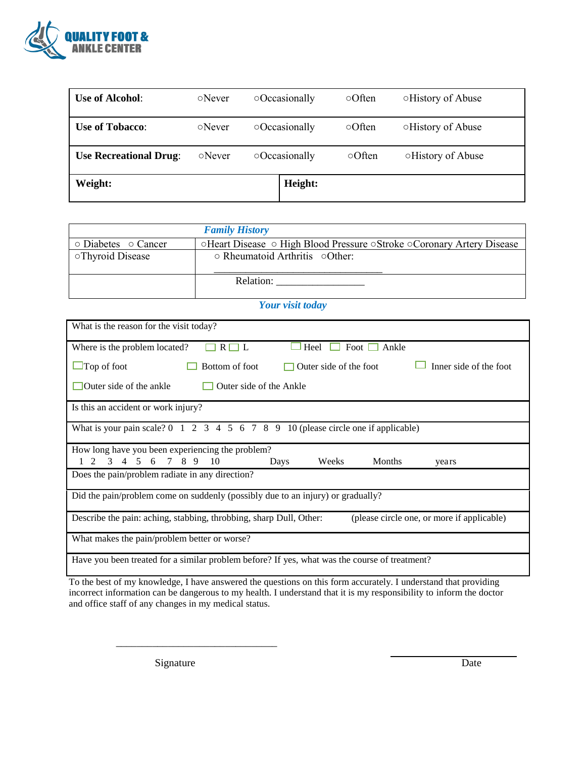

| <b>Use of Alcohol:</b>        | $\circ$ Never | $\circ$ Occasionally | $\circ$ Often | <b>OHistory of Abuse</b> |
|-------------------------------|---------------|----------------------|---------------|--------------------------|
| <b>Use of Tobacco:</b>        | $\circ$ Never | $\circ$ Occasionally | $\circ$ Often | <b>OHistory of Abuse</b> |
| <b>Use Recreational Drug:</b> | $\circ$ Never | $\circ$ Occasionally | $\circ$ Often | <b>OHistory of Abuse</b> |
| Weight:                       |               | Height:              |               |                          |

|                                 | <b>Family History</b>                                                 |
|---------------------------------|-----------------------------------------------------------------------|
| $\circ$ Diabetes $\circ$ Cancer | ⊙Heart Disease ⊙ High Blood Pressure ⊙Stroke ⊙Coronary Artery Disease |
| <b>OThyroid Disease</b>         | $\circ$ Rheumatoid Arthritis $\circ$ Other:                           |
|                                 | Relation:                                                             |

## *Your visit today*

| What is the reason for the visit today?                                                                                   |
|---------------------------------------------------------------------------------------------------------------------------|
| Where is the problem located?<br>$R \Box L$<br>Heel<br>Foot<br>Ankle                                                      |
| Inner side of the foot<br>$\Box$ Top of foot<br>Bottom of foot<br>Outer side of the foot                                  |
| Outer side of the ankle<br>Outer side of the Ankle                                                                        |
| Is this an accident or work injury?                                                                                       |
| What is your pain scale? $0 \t1 \t2 \t3 \t4 \t5 \t6 \t7 \t8 \t9 \t10$ (please circle one if applicable)                   |
| How long have you been experiencing the problem?<br>3 4 5 6 7 8 9 10<br>Days<br>Weeks<br>Months<br>$\mathcal{L}$<br>years |
| Does the pain/problem radiate in any direction?                                                                           |
| Did the pain/problem come on suddenly (possibly due to an injury) or gradually?                                           |
| (please circle one, or more if applicable)<br>Describe the pain: aching, stabbing, throbbing, sharp Dull, Other:          |
| What makes the pain/problem better or worse?                                                                              |
| Have you been treated for a similar problem before? If yes, what was the course of treatment?                             |

To the best of my knowledge, I have answered the questions on this form accurately. I understand that providing incorrect information can be dangerous to my health. I understand that it is my responsibility to inform the doctor and office staff of any changes in my medical status.

Signature Date

\_\_\_\_\_\_\_\_\_\_\_\_\_\_\_\_\_\_\_\_\_\_\_\_\_\_\_\_\_\_\_